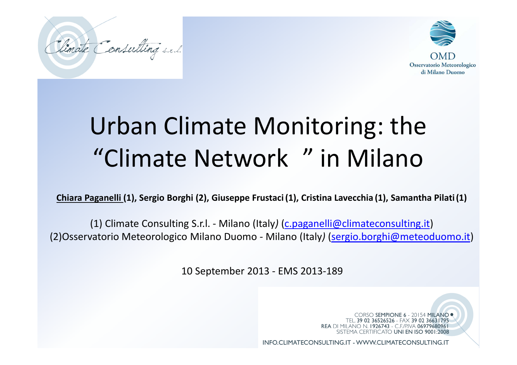



# Urban Climate Monitoring: the "Climate Network<sup>®"</sup> in Milano

**Chiara Paganelli (1), Sergio Borghi (2), Giuseppe Frustaci (1), Cristina Lavecchia (1), Samantha Pilati (1)**

(1) Climate Consulting S.r.l. - Milano (Italy*)* (c.paganelli@climateconsulting.it) (2)Osservatorio Meteorologico Milano Duomo - Milano (Italy*)* (sergio.borghi@meteoduomo.it)

10 September 2013 - EMS 2013-189

CORSO SEMPIONE 6 - 20154 MILANO . TEL. 39 02 36526526 - FAX 39 02 36631795 **REA DI MILANO N. 1926743 - C.F./P.IVA 06979680961** SISTEMA CERTIFICATO UNI EN ISO 9001:2008

INFO.CLIMATECONSULTING.IT - WWW.CLIMATECONSULTING.IT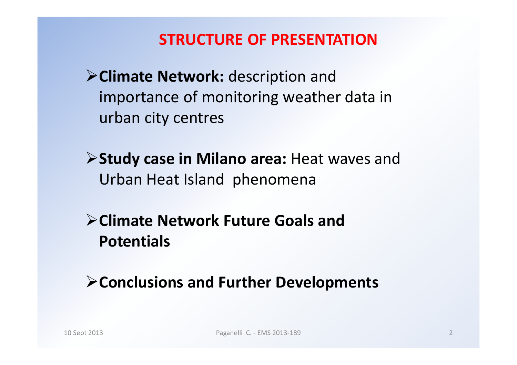### **STRUCTURE OF PRESENTATION**

**Climate Network:** description and importance of monitoring weather data in urban city centres

**Study case in Milano area:** Heat waves and Urban Heat Island phenomena

**Climate Network Future Goals and Potentials**

**Conclusions and Further Developments**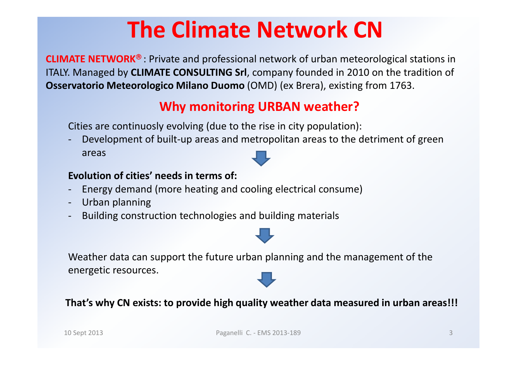## **The Climate Network CN**

**CLIMATE NETWORK<sup>®</sup>** : Private and professional network of urban meteorological stations in ITALY. Managed by **CLIMATE CONSULTING Srl**, company founded in 2010 on the tradition of **Osservatorio Meteorologico Milano Duomo** (OMD) (ex Brera), existing from 1763.

### **Why monitoring URBAN weather?**

Cities are continuosly evolving (due to the rise in city population):

 Development of built-up areas and metropolitan areas to the detriment of green areas

#### **Evolution of cities' needs in terms of:**

- Energy demand (more heating and cooling electrical consume)
- Urban planning
- Building construction technologies and building materials



Weather data can support the future urban planning and the management of the energetic resources.

**That's why CN exists: to provide high quality weather data measured in urban areas!!!**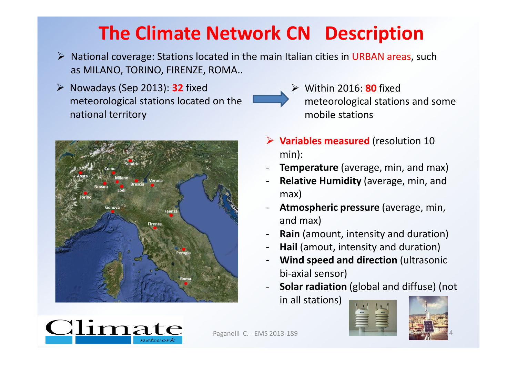## **The Climate Network CN<sup>®</sup> Description**

- A National coverage: Stations located in the main Italian cities in URBAN areas, such<br>
sea MILANO TORINO FIRENTE ROMA as MILANO, TORINO, FIRENZE, ROMA..
- Nowadays (Sep 2013): **<sup>32</sup>** fixed meteorological stations located on the national territory



- Within 2016: **80** fixed meteorological stations and some mobile stations
- **Variables measured** (resolution 10 min):
- -**Temperature** (average, min, and max)
- - **Relative Humidity** (average, min, and max)
- - **Atmospheric pressure** (average, min, and max)
- -**Rain** (amount, intensity and duration)
- -**Hail** (amout, intensity and duration)
- - **Wind speed and direction** (ultrasonic bi-axial sensor)
- **Solar radiation** (global and diffuse) (not in all stations)





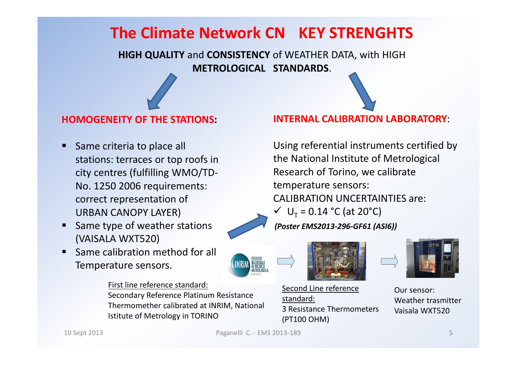## **The Climate Network CN® KEY STRENGHTS**

**HIGH QUALITY** and **CONSISTENCY** of WEATHER DATA, with HIGH **METROLOGICAL STANDARDS**.

#### **HOMOGENEITY OF THE STATIONS:**

- - Same criteria to place all stations: terraces or top roofs in city centres (fulfilling WMO/TD-No. 1250 2006 requirements: correct representation of URBAN CANOPY LAYER)
- - Same type of weather stations (VAISALA WXT520)
- **Same calibration method for all** Temperature sensors.

First line reference standard:

Secondary Reference Platinum Resistance Thermomether calibrated at INRIM, National Istitute of Metrology in TORINO

**INTERNAL CALIBRATION LABORATORY**:

Using referential instruments certified by the National Institute of Metrological Research of Torino, we calibrate temperature sensors:CALIBRATION UNCERTAINTIES are: $V U_T = 0.14 °C (at 20 °C)$ *(Poster EMS2013-296-GF61 (ASI6))*





Second Line referencestandard: 3 Resistance Thermometers (PT100 OHM)



Our sensor: Weather trasmitter Vaisala WXT520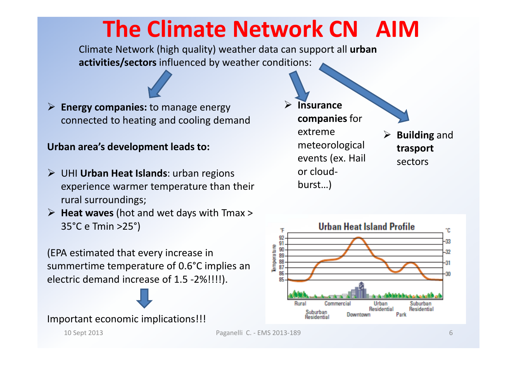## **The Climate Network CN<sup>®</sup> AIM**

Climate Network (high quality) weather data can support all **urban activities/sectors** influenced by weather conditions:

 **Energy companies:** to manage energy connected to heating and cooling demand

#### **Urban area's development leads to:**

- UHI **Urban Heat Islands**: urban regions experience warmer temperature than their rural surroundings;
- **Heat waves** (hot and wet days with Tmax <sup>&</sup>gt; 35°C e Tmin >25°)

(EPA estimated that every increase in summertime temperature of 0.6°C implies an electric demand increase of 1.5 -2%!!!!).

Important economic implications!!!

- $\blacktriangleright$  **Insurance companies** for extreme meteorologicalevents (ex. Hail or cloudburst…)
- **Building** and **trasport**sectors

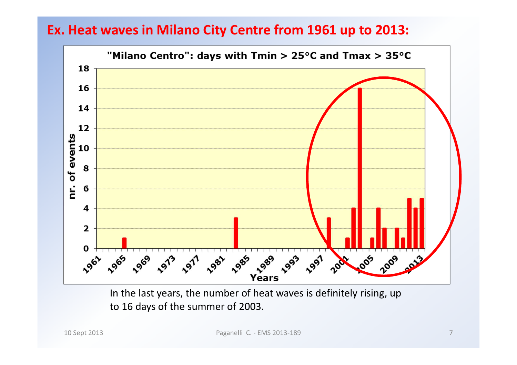#### **Ex. Heat waves in Milano City Centre from 1961 up to 2013:**



In the last years, the number of heat waves is definitely rising, up to 16 days of the summer of 2003.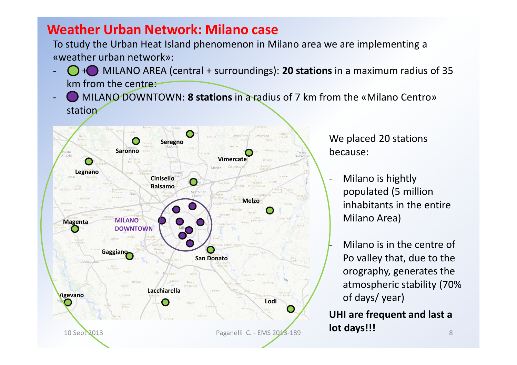#### **Weather Urban Network: Milano case**

To study the Urban Heat Island phenomenon in Milano area we are implementing a «weather urban network»:

- + MILANO AREA (central + surroundings): **20 stations** in a maximum radius of 35 km from the centre:
- MILANO DOWNTOWN: **8 stations** in a radius of 7 km from the «Milano Centro» station



We placed 20 stations because:

- - Milano is hightly populated (5 million inhabitants in the entire Milano Area)
	- Milano is in the centre of Po valley that, due to the orography, generates the atmospheric stability (70% of days/ year)

 $\frac{9}{8}$ **UHI are frequent and last a lot days!!!**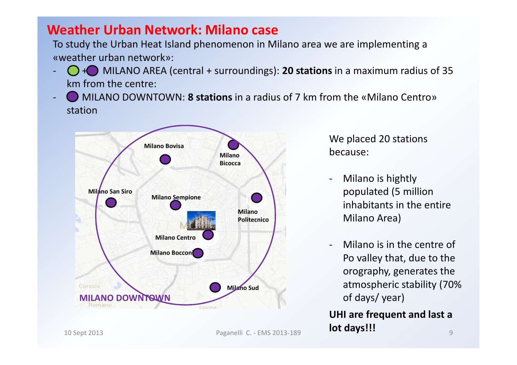#### **Weather Urban Network: Milano case**

To study the Urban Heat Island phenomenon in Milano area we are implementing a «weather urban network»:

- + MILANO AREA (central + surroundings): **20 stations** in a maximum radius of 35 km from the centre:
- MILANO DOWNTOWN: **8 stations** in a radius of 7 km from the «Milano Centro» station



We placed 20 stations because:

-

- Milano is hightly populated (5 million inhabitants in the entire Milano Area)
- Milano is in the centre of Po valley that, due to the orography, generates the atmospheric stability (70% of days/ year)

9**UHI are frequent and last a lot days!!!**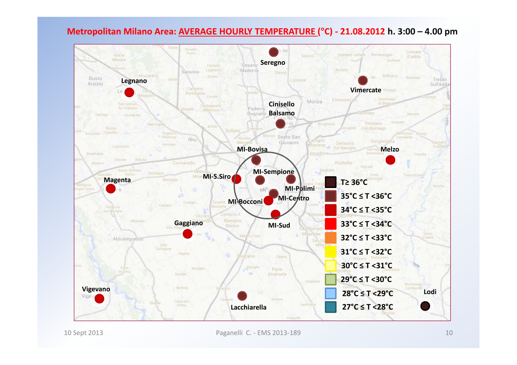#### **Metropolitan Milano Area: AVERAGE HOURLY TEMPERATURE ( °C) - 21.08.2012 h. 3:00 – 4.00 pm**

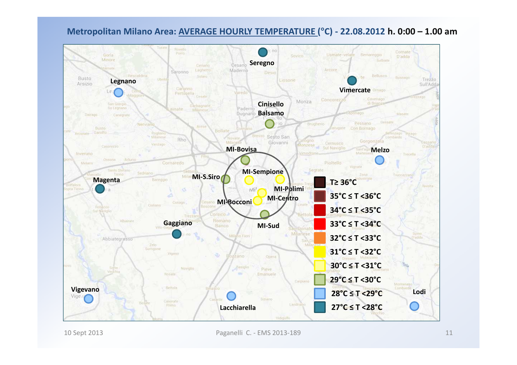#### **Metropolitan Milano Area: AVERAGE HOURLY TEMPERATURE ( °C) - 22.08.2012 h. 0:00 – 1.00 am**

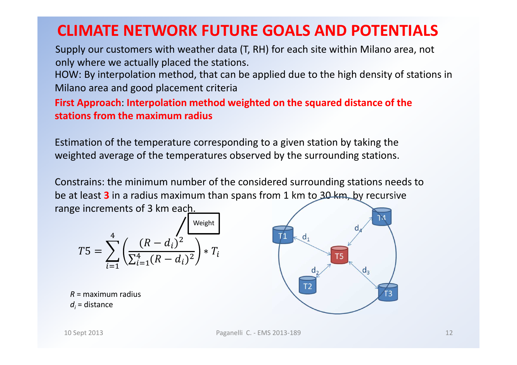## **CLIMATE NETWORK FUTURE GOALS AND POTENTIALS**

 Supply our customers with weather data (T, RH) for each site within Milano area, not only where we actually placed the stations.

HOW: By interpolation method, that can be applied due to the high density of stations in Milano area and good placement criteria

**First Approach**: **Interpolation method weighted on the squared distance of the stations from the maximum radius** 

Estimation of the temperature corresponding to a given station by taking the weighted average of the temperatures observed by the surrounding stations.

Constrains: the minimum number of the considered surrounding stations needs to be at least **3** in a radius maximum than spans from 1 km to 30 km, by recursive range increments of 3 km each.

$$
T5 = \sum_{i=1}^{4} \left( \frac{(R - d_i)^2}{\sum_{i=1}^{4} (R - d_i)^2} \right) * T_i
$$

*R* = maximum radius *di* = distance

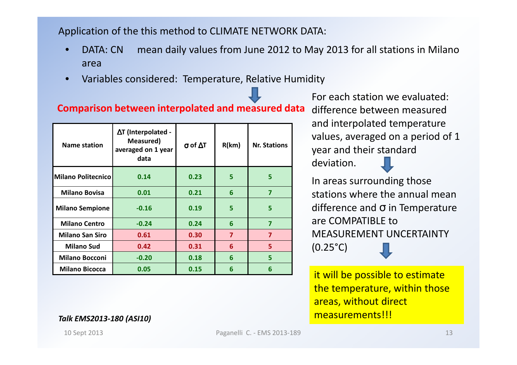Application of the this method to CLIMATE NETWORK DATA:

- •• DATA: CN ® mean daily values from June 2012 to May 2013 for all stations in Milano<br>
2012 area
- •Variables considered: Temperature, Relative Humidity

### **Comparison between interpolated and measured data** difference between measured

| <b>Name station</b>    | $\Delta T$ (Interpolated -<br>Measured)<br>averaged on 1 year<br>data | $\sigma$ of $\Delta T$ | R(km)                   | <b>Nr. Stations</b> |
|------------------------|-----------------------------------------------------------------------|------------------------|-------------------------|---------------------|
| Milano Politecnico     | 0.14                                                                  | 0.23                   | 5                       | 5                   |
| <b>Milano Bovisa</b>   | 0.01                                                                  | 0.21                   | 6                       | 7                   |
| <b>Milano Sempione</b> | $-0.16$                                                               | 0.19                   | 5                       | 5                   |
| <b>Milano Centro</b>   | $-0.24$                                                               | 0.24                   | 6                       | 7                   |
| <b>Milano San Siro</b> | 0.61                                                                  | 0.30                   | $\overline{\mathbf{z}}$ | 7                   |
| <b>Milano Sud</b>      | 0.42                                                                  | 0.31                   | 6                       | 5                   |
| <b>Milano Bocconi</b>  | $-0.20$                                                               | 0.18                   | 6                       | 5                   |
| <b>Milano Bicocca</b>  | 0.05                                                                  | 0.15                   | 6                       | 6                   |

For each station we evaluated: and interpolated temperature values, averaged on a period of 1 year and their standard deviation.

In areas surrounding those stations where the annual meandifference and σ in Temperature are COMPATIBLE to MEASUREMENT UNCERTAINTY (0.25°C)

it will be possible to estimate the temperature, within those areas, without direct measurements!!!

*Talk EMS2013-180 (ASI10)*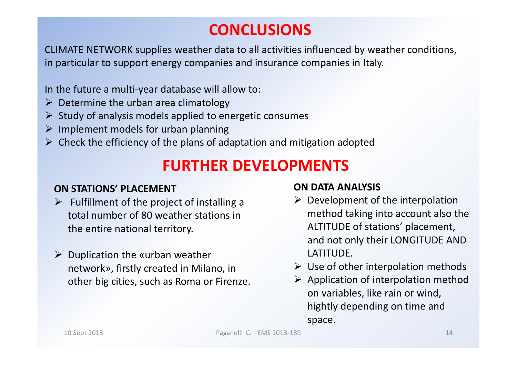## **CONCLUSIONS**

CLIMATE NETWORK supplies weather data to all activities influenced by weather conditions, in particular to support energy companies and insurance companies in Italy.

In the future a multi-year database will allow to:

- $\triangleright$  Determine the urban area climatology
- $\triangleright$  Study of analysis models applied to energetic consumes
- $\triangleright$  Implement models for urban planning
- $\triangleright$  Check the efficiency of the plans of adaptation and mitigation adopted

## **FURTHER DEVELOPMENTS**

#### **ON STATIONS' PLACEMENT**

- $\triangleright$  Fulfillment of the project of installing a<br>tatal number of 80 weather stations in total number of 80 weather stations in the entire national territory.
- $\triangleright$  Duplication the «urban weather network», firstly created in Milano, in other big cities, such as Roma or Firenze.

#### **ON DATA ANALYSIS**

- $\triangleright$  Development of the interpolation method taking into account also the ALTITUDE of stations' placement, and not only their LONGITUDE AND LATITUDE.
- $\triangleright$  Use of other interpolation methods
- $\triangleright$  Application of interpolation method on variables, like rain or wind, hightly depending on time and space.